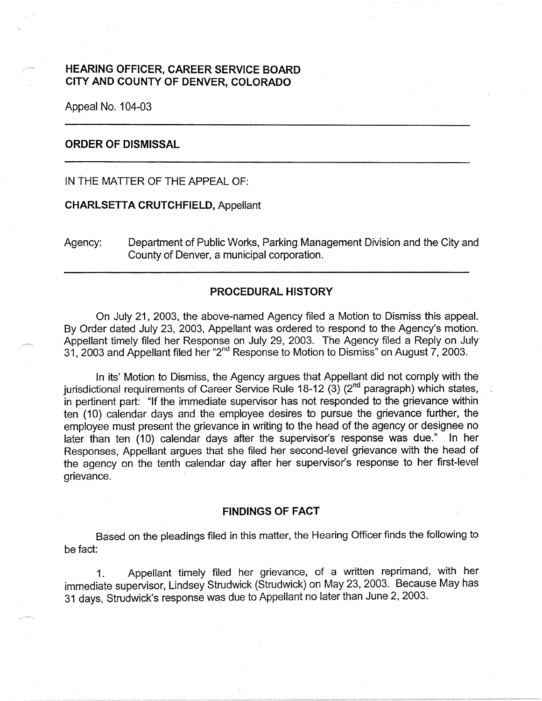# **HEARING OFFICER, CAREER SERVICE BOARD CITY AND COUNTY OF DENVER, COLORADO**

Appeal No. 104-03

## **ORDER OF DISMISSAL**

IN THE MATTER OF THE APPEAL OF:

#### **CHARLSETT A CRUTCHFIELD,** Appellant

Agency: Department of Public Works, Parking Management Division and the City and County of Denver, a municipal corporation.

### **PROCEDURAL HISTORY**

On July 21, 2003, the above-named Agency filed a Motion to Dismiss this appeal. By Order dated July 23, 2003, Appellant was ordered to respond to the Agency's motion. Appellant timely filed her Response on July 29, 2003. The Agency filed a Reply on July 31, 2003 and Appellant filed her "2nd Response to Motion to Dismiss" on August 7, 2003.

In its' Motion to Dismiss, the Agency argues that Appellant did not comply with the jurisdictional requirements of Career Service Rule 18-12 (3) ( $2<sup>nd</sup>$  paragraph) which states, in pertinent part: "If the immediate supervisor has not responded to the grievance within ten (10) calendar days and the employee desires to pursue the grievance further, the employee must present the grievance in writing to the head of the agency or designee no later than ten (10) calendar days after the supervisor's response was due." In her Responses, Appellant argues that she filed her second-level grievance with the head of the agency on the tenth calendar day after her supervisor's response to her first-level grievance.

#### **FINDINGS OF FACT**

Based on the pleadings filed in this matter, the Hearing Officer finds the following to be fact:

1. Appellant timely filed her grievance, of a written reprimand, with her immediate supervisor, Lindsey Strudwick (Strudwick) on May 23, 2003. Because May has 31 days, Strudwick's response was due to Appellant no later than June 2, 2003.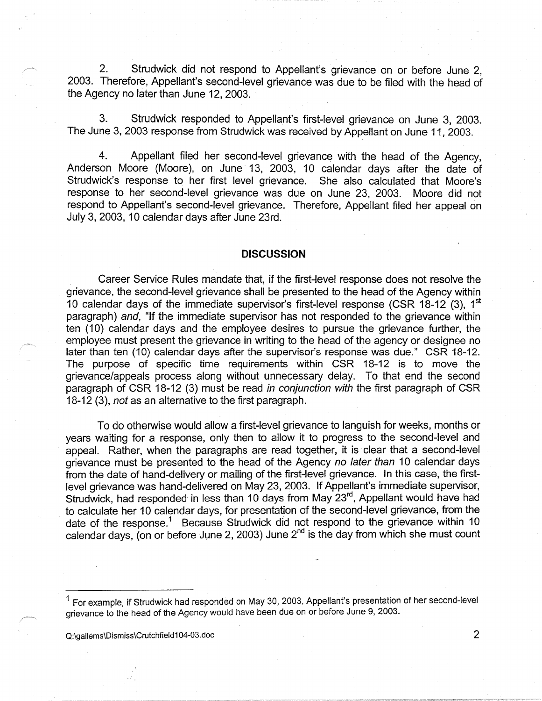2. Strudwick did not respond to Appellant's grievance on or before June 2, 2003. Therefore, Appellant's second-level grievance was due to be filed with the head of the Agency no later than June 12, 2003.

3. Strudwick responded to Appellant's first-level grievance on June 3, 2003. The June 3, 2003 response from Strudwick was received by Appellant on June 11, 2003.

4. Appellant filed her second-level grievance with the head of the Agency, Anderson Moore (Moore), on June 13, 2003, 10 calendar days after the date of Strudwick's response to her first level grievance. She also calculated that Moore's response to her second-level grievance was due on June 23, 2003. Moore did not respond to Appellant's second-level grievance. Therefore, Appellant filed her appeal on July 3, 2003, 10 calendar days after June 23rd.

### **DISCUSSION**

Career Service Rules mandate that, if the first-level response does not resolve the grievance, the second-level grievance shall be presented to the head of the Agency within 10 calendar days of the immediate supervisor's first-level response (CSR 18-12  $(3)$ , 1<sup>st</sup> paragraph) and, "If the immediate supervisor has not responded to the grievance within ten (10) calendar days and the employee desires to pursue the grievance further, the employee must present the grievance in writing to the head of the agency or designee no later than ten (10) calendar days after the supervisor's response was due." CSR 18-12. The purpose of specific time requirements within CSR 18-12 is to move the grievance/appeals process along without unnecessary delay. To that end the second paragraph of CSR 18-12 (3) must be read in conjunction with the first paragraph of CSR 18-12 (3), not as an alternative to the first paragraph.

To do otherwise would allow a first-level grievance to languish for weeks, months or years waiting for a response, only then to allow it to progress to the second-level and appeal. Rather, when the paragraphs are read together, it is clear that a second-level grievance must be presented to the head of the Agency no later than 10 calendar days from the date of hand-delivery or mailing of the first-level grievance. In this case, the firstlevel grievance was hand-delivered on May 23, 2003. If Appellant's immediate supervisor, Strudwick, had responded in less than 10 days from May 23rd, Appellant would have had to calculate her 10 calendar days, for presentation of the second-level grievance, from the date of the response.<sup>1</sup> Because Strudwick did not respond to the grievance within 10 calendar days, (on or before June 2, 2003) June 2<sup>nd</sup> is the day from which she must count

Q:\gallems\Dismiss\Crutchfield104-03.doc 2

<sup>1</sup> For example, if Strudwick had responded on May 30, 2003, Appellant's presentation of her second-level grievance to the head of the Agency would have been due on or before June 9, 2003.